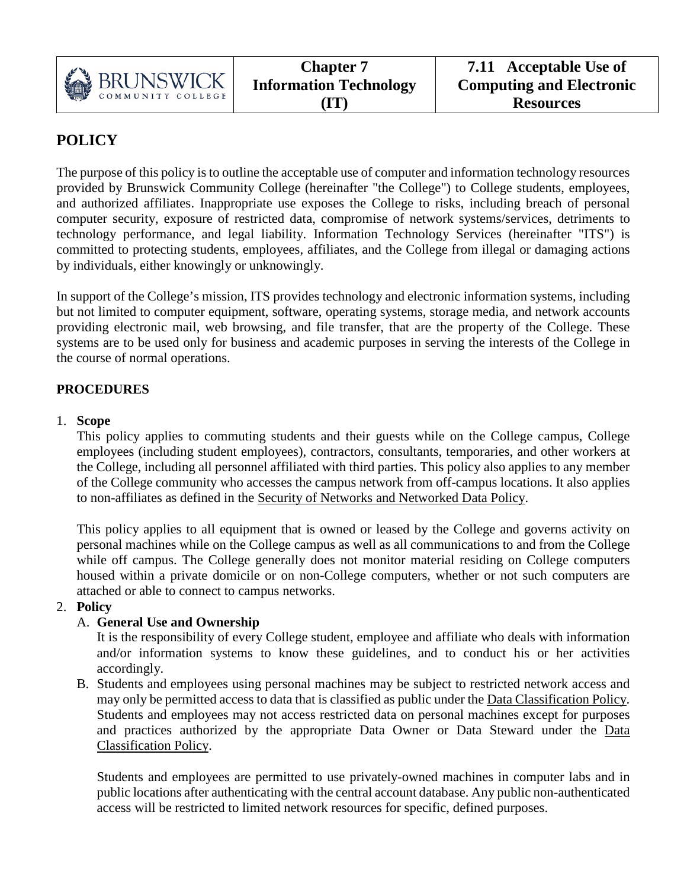| BRUNSWICK | <b>Chapter 7</b>              | 7.11 Acceptable Use of          |
|-----------|-------------------------------|---------------------------------|
|           | <b>Information Technology</b> | <b>Computing and Electronic</b> |
|           | TT)                           | <b>Resources</b>                |

# **POLICY**

The purpose of this policy is to outline the acceptable use of computer and information technology resources provided by Brunswick Community College (hereinafter "the College") to College students, employees, and authorized affiliates. Inappropriate use exposes the College to risks, including breach of personal computer security, exposure of restricted data, compromise of network systems/services, detriments to technology performance, and legal liability. Information Technology Services (hereinafter "ITS") is committed to protecting students, employees, affiliates, and the College from illegal or damaging actions by individuals, either knowingly or unknowingly.

In support of the College's mission, ITS provides technology and electronic information systems, including but not limited to computer equipment, software, operating systems, storage media, and network accounts providing electronic mail, web browsing, and file transfer, that are the property of the College. These systems are to be used only for business and academic purposes in serving the interests of the College in the course of normal operations.

## **PROCEDURES**

#### 1. **Scope**

This policy applies to commuting students and their guests while on the College campus, College employees (including student employees), contractors, consultants, temporaries, and other workers at the College, including all personnel affiliated with third parties. This policy also applies to any member of the College community who accesses the campus network from off-campus locations. It also applies to non-affiliates as defined in the Security of Networks and Networked Data Policy.

This policy applies to all equipment that is owned or leased by the College and governs activity on personal machines while on the College campus as well as all communications to and from the College while off campus. The College generally does not monitor material residing on College computers housed within a private domicile or on non-College computers, whether or not such computers are attached or able to connect to campus networks.

## 2. **Policy**

## A. **General Use and Ownership**

It is the responsibility of every College student, employee and affiliate who deals with information and/or information systems to know these guidelines, and to conduct his or her activities accordingly.

B. Students and employees using personal machines may be subject to restricted network access and may only be permitted access to data that is classified as public under the Data Classification Policy. Students and employees may not access restricted data on personal machines except for purposes and practices authorized by the appropriate Data Owner or Data Steward under the Data Classification Policy.

Students and employees are permitted to use privately-owned machines in computer labs and in public locations after authenticating with the central account database. Any public non-authenticated access will be restricted to limited network resources for specific, defined purposes.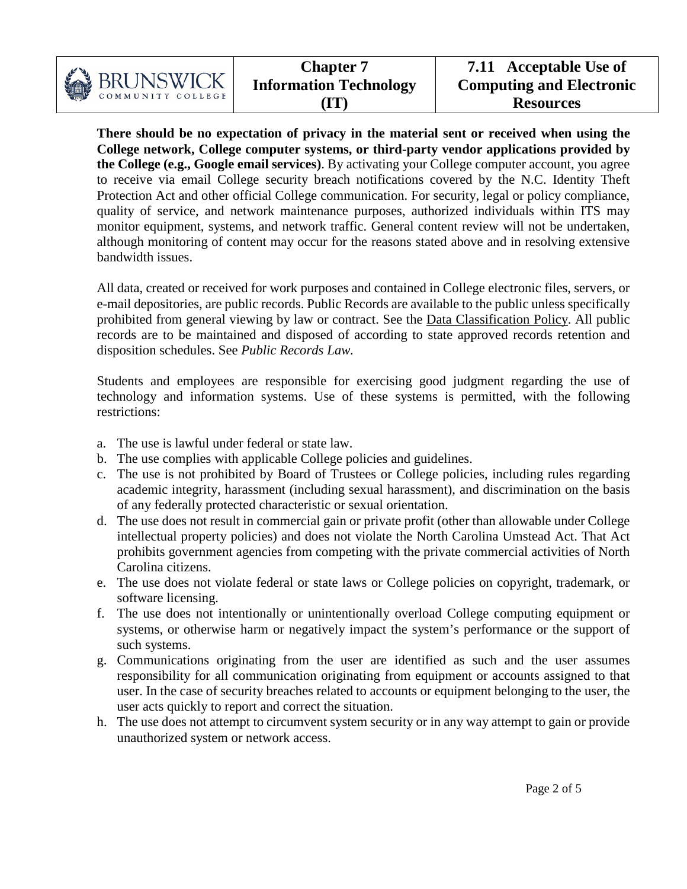| BRUNSWICK |  |
|-----------|--|
|           |  |

**There should be no expectation of privacy in the material sent or received when using the College network, College computer systems, or third-party vendor applications provided by the College (e.g., Google email services)**. By activating your College computer account, you agree to receive via email College security breach notifications covered by the N.C. Identity Theft Protection Act and other official College communication. For security, legal or policy compliance, quality of service, and network maintenance purposes, authorized individuals within ITS may monitor equipment, systems, and network traffic. General content review will not be undertaken, although monitoring of content may occur for the reasons stated above and in resolving extensive bandwidth issues.

All data, created or received for work purposes and contained in College electronic files, servers, or e-mail depositories, are public records. Public Records are available to the public unless specifically prohibited from general viewing by law or contract. See the Data Classification Policy. All public records are to be maintained and disposed of according to state approved records retention and disposition schedules. See *Public Records Law.*

Students and employees are responsible for exercising good judgment regarding the use of technology and information systems. Use of these systems is permitted, with the following restrictions:

- a. The use is lawful under federal or state law.
- b. The use complies with applicable College policies and guidelines.
- c. The use is not prohibited by Board of Trustees or College policies, including rules regarding academic integrity, harassment (including sexual harassment), and discrimination on the basis of any federally protected characteristic or sexual orientation.
- d. The use does not result in commercial gain or private profit (other than allowable under College intellectual property policies) and does not violate the North Carolina Umstead Act. That Act prohibits government agencies from competing with the private commercial activities of North Carolina citizens.
- e. The use does not violate federal or state laws or College policies on copyright, trademark, or software licensing.
- f. The use does not intentionally or unintentionally overload College computing equipment or systems, or otherwise harm or negatively impact the system's performance or the support of such systems.
- g. Communications originating from the user are identified as such and the user assumes responsibility for all communication originating from equipment or accounts assigned to that user. In the case of security breaches related to accounts or equipment belonging to the user, the user acts quickly to report and correct the situation.
- h. The use does not attempt to circumvent system security or in any way attempt to gain or provide unauthorized system or network access.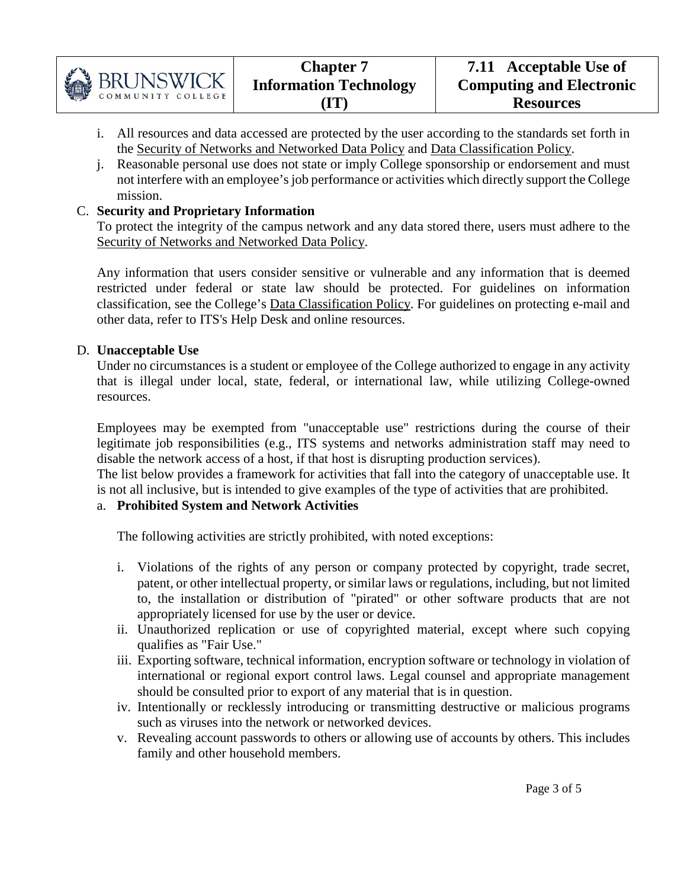

- i. All resources and data accessed are protected by the user according to the standards set forth in the Security of Networks and Networked Data Policy and Data Classification Policy.
- j. Reasonable personal use does not state or imply College sponsorship or endorsement and must not interfere with an employee's job performance or activities which directly support the College mission.

## C. **Security and Proprietary Information**

To protect the integrity of the campus network and any data stored there, users must adhere to the Security of Networks and Networked Data Policy.

Any information that users consider sensitive or vulnerable and any information that is deemed restricted under federal or state law should be protected. For guidelines on information classification, see the College's Data Classification Policy. For guidelines on protecting e-mail and other data, refer to ITS's Help Desk and online resources.

## D. **Unacceptable Use**

Under no circumstances is a student or employee of the College authorized to engage in any activity that is illegal under local, state, federal, or international law, while utilizing College-owned resources.

Employees may be exempted from "unacceptable use" restrictions during the course of their legitimate job responsibilities (e.g., ITS systems and networks administration staff may need to disable the network access of a host, if that host is disrupting production services).

The list below provides a framework for activities that fall into the category of unacceptable use. It is not all inclusive, but is intended to give examples of the type of activities that are prohibited.

## a. **Prohibited System and Network Activities**

The following activities are strictly prohibited, with noted exceptions:

- i. Violations of the rights of any person or company protected by copyright, trade secret, patent, or other intellectual property, or similar laws or regulations, including, but not limited to, the installation or distribution of "pirated" or other software products that are not appropriately licensed for use by the user or device.
- ii. Unauthorized replication or use of copyrighted material, except where such copying qualifies as "Fair Use."
- iii. Exporting software, technical information, encryption software or technology in violation of international or regional export control laws. Legal counsel and appropriate management should be consulted prior to export of any material that is in question.
- iv. Intentionally or recklessly introducing or transmitting destructive or malicious programs such as viruses into the network or networked devices.
- v. Revealing account passwords to others or allowing use of accounts by others. This includes family and other household members.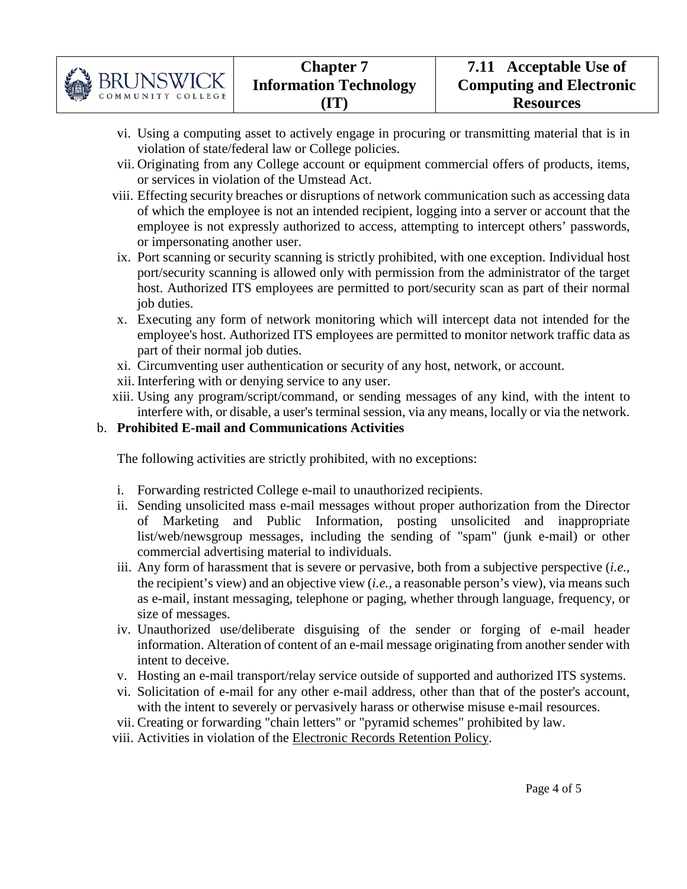

- vi. Using a computing asset to actively engage in procuring or transmitting material that is in violation of state/federal law or College policies.
- vii. Originating from any College account or equipment commercial offers of products, items, or services in violation of the Umstead Act.
- viii. Effecting security breaches or disruptions of network communication such as accessing data of which the employee is not an intended recipient, logging into a server or account that the employee is not expressly authorized to access, attempting to intercept others' passwords, or impersonating another user.
- ix. Port scanning or security scanning is strictly prohibited, with one exception. Individual host port/security scanning is allowed only with permission from the administrator of the target host. Authorized ITS employees are permitted to port/security scan as part of their normal job duties.
- x. Executing any form of network monitoring which will intercept data not intended for the employee's host. Authorized ITS employees are permitted to monitor network traffic data as part of their normal job duties.
- xi. Circumventing user authentication or security of any host, network, or account.
- xii. Interfering with or denying service to any user.
- xiii. Using any program/script/command, or sending messages of any kind, with the intent to interfere with, or disable, a user's terminal session, via any means, locally or via the network.

## b. **Prohibited E-mail and Communications Activities**

The following activities are strictly prohibited, with no exceptions:

- i. Forwarding restricted College e-mail to unauthorized recipients.
- ii. Sending unsolicited mass e-mail messages without proper authorization from the Director of Marketing and Public Information, posting unsolicited and inappropriate list/web/newsgroup messages, including the sending of "spam" (junk e-mail) or other commercial advertising material to individuals.
- iii. Any form of harassment that is severe or pervasive, both from a subjective perspective (*i.e.,* the recipient's view) and an objective view (*i.e.,* a reasonable person's view), via means such as e-mail, instant messaging, telephone or paging, whether through language, frequency, or size of messages.
- iv. Unauthorized use/deliberate disguising of the sender or forging of e-mail header information. Alteration of content of an e-mail message originating from another sender with intent to deceive.
- v. Hosting an e-mail transport/relay service outside of supported and authorized ITS systems.
- vi. Solicitation of e-mail for any other e-mail address, other than that of the poster's account, with the intent to severely or pervasively harass or otherwise misuse e-mail resources.
- vii. Creating or forwarding "chain letters" or "pyramid schemes" prohibited by law.
- viii. Activities in violation of the Electronic Records Retention Policy.